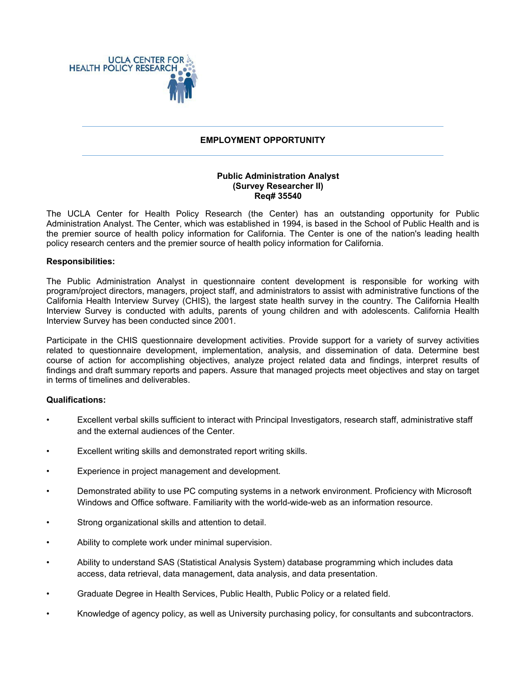

### **EMPLOYMENT OPPORTUNITY**

## **Public Administration Analyst (Survey Researcher II) Req# 35540**

The UCLA Center for Health Policy Research (the Center) has an outstanding opportunity for Public Administration Analyst. The Center, which was established in 1994, is based in the School of Public Health and is the premier source of health policy information for California. The Center is one of the nation's leading health policy research centers and the premier source of health policy information for California.

#### **Responsibilities:**

The Public Administration Analyst in questionnaire content development is responsible for working with program/project directors, managers, project staff, and administrators to assist with administrative functions of the California Health Interview Survey (CHIS), the largest state health survey in the country. The California Health Interview Survey is conducted with adults, parents of young children and with adolescents. California Health Interview Survey has been conducted since 2001.

Participate in the CHIS questionnaire development activities. Provide support for a variety of survey activities related to questionnaire development, implementation, analysis, and dissemination of data. Determine best course of action for accomplishing objectives, analyze project related data and findings, interpret results of findings and draft summary reports and papers. Assure that managed projects meet objectives and stay on target in terms of timelines and deliverables.

#### **Qualifications:**

- Excellent verbal skills sufficient to interact with Principal Investigators, research staff, administrative staff and the external audiences of the Center.
- Excellent writing skills and demonstrated report writing skills.
- Experience in project management and development.
- Demonstrated ability to use PC computing systems in a network environment. Proficiency with Microsoft Windows and Office software. Familiarity with the world-wide-web as an information resource.
- Strong organizational skills and attention to detail.
- Ability to complete work under minimal supervision.
- Ability to understand SAS (Statistical Analysis System) database programming which includes data access, data retrieval, data management, data analysis, and data presentation.
- Graduate Degree in Health Services, Public Health, Public Policy or a related field.
- Knowledge of agency policy, as well as University purchasing policy, for consultants and subcontractors.